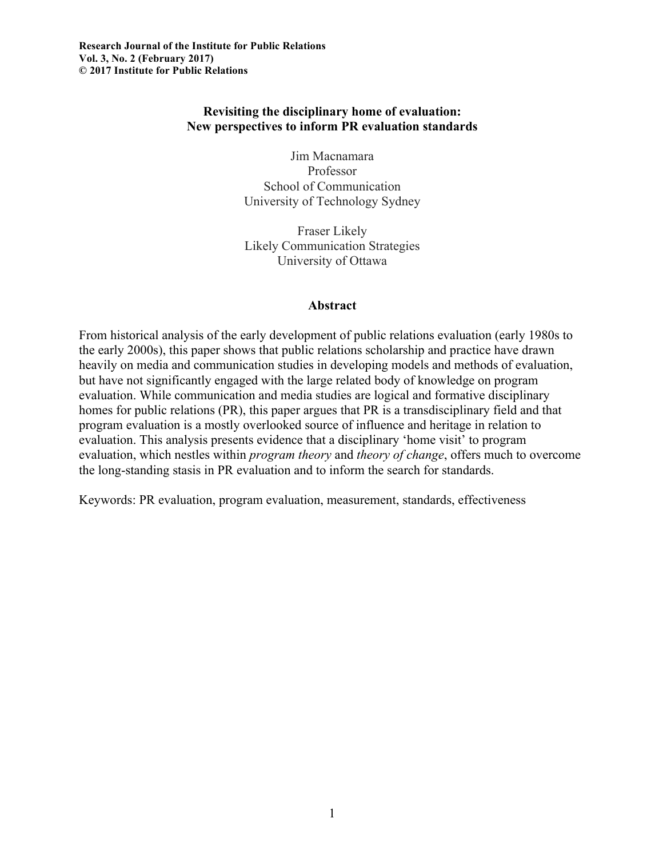# **Revisiting the disciplinary home of evaluation: New perspectives to inform PR evaluation standards**

Jim Macnamara Professor School of Communication University of Technology Sydney

Fraser Likely Likely Communication Strategies University of Ottawa

#### **Abstract**

From historical analysis of the early development of public relations evaluation (early 1980s to the early 2000s), this paper shows that public relations scholarship and practice have drawn heavily on media and communication studies in developing models and methods of evaluation, but have not significantly engaged with the large related body of knowledge on program evaluation. While communication and media studies are logical and formative disciplinary homes for public relations (PR), this paper argues that PR is a transdisciplinary field and that program evaluation is a mostly overlooked source of influence and heritage in relation to evaluation. This analysis presents evidence that a disciplinary 'home visit' to program evaluation, which nestles within *program theory* and *theory of change*, offers much to overcome the long-standing stasis in PR evaluation and to inform the search for standards.

Keywords: PR evaluation, program evaluation, measurement, standards, effectiveness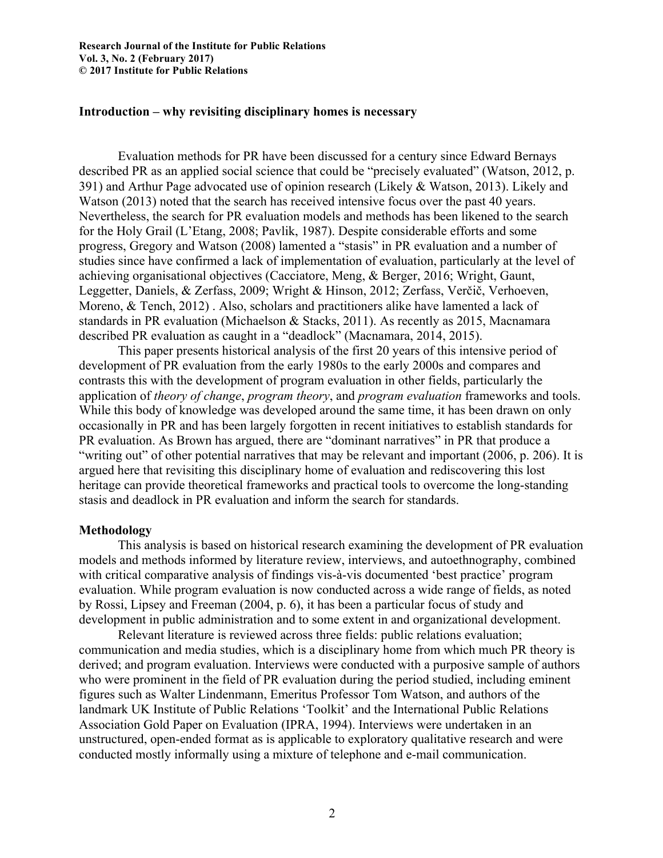#### **Introduction – why revisiting disciplinary homes is necessary**

Evaluation methods for PR have been discussed for a century since Edward Bernays described PR as an applied social science that could be "precisely evaluated" (Watson, 2012, p. 391) and Arthur Page advocated use of opinion research (Likely & Watson, 2013). Likely and Watson (2013) noted that the search has received intensive focus over the past 40 years. Nevertheless, the search for PR evaluation models and methods has been likened to the search for the Holy Grail (L'Etang, 2008; Pavlik, 1987). Despite considerable efforts and some progress, Gregory and Watson (2008) lamented a "stasis" in PR evaluation and a number of studies since have confirmed a lack of implementation of evaluation, particularly at the level of achieving organisational objectives (Cacciatore, Meng, & Berger, 2016; Wright, Gaunt, Leggetter, Daniels, & Zerfass, 2009; Wright & Hinson, 2012; Zerfass, Verčič, Verhoeven, Moreno, & Tench, 2012) . Also, scholars and practitioners alike have lamented a lack of standards in PR evaluation (Michaelson & Stacks, 2011). As recently as 2015, Macnamara described PR evaluation as caught in a "deadlock" (Macnamara, 2014, 2015).

This paper presents historical analysis of the first 20 years of this intensive period of development of PR evaluation from the early 1980s to the early 2000s and compares and contrasts this with the development of program evaluation in other fields, particularly the application of *theory of change*, *program theory*, and *program evaluation* frameworks and tools. While this body of knowledge was developed around the same time, it has been drawn on only occasionally in PR and has been largely forgotten in recent initiatives to establish standards for PR evaluation. As Brown has argued, there are "dominant narratives" in PR that produce a "writing out" of other potential narratives that may be relevant and important (2006, p. 206). It is argued here that revisiting this disciplinary home of evaluation and rediscovering this lost heritage can provide theoretical frameworks and practical tools to overcome the long-standing stasis and deadlock in PR evaluation and inform the search for standards.

#### **Methodology**

This analysis is based on historical research examining the development of PR evaluation models and methods informed by literature review, interviews, and autoethnography, combined with critical comparative analysis of findings vis-à-vis documented 'best practice' program evaluation. While program evaluation is now conducted across a wide range of fields, as noted by Rossi, Lipsey and Freeman (2004, p. 6), it has been a particular focus of study and development in public administration and to some extent in and organizational development.

Relevant literature is reviewed across three fields: public relations evaluation; communication and media studies, which is a disciplinary home from which much PR theory is derived; and program evaluation. Interviews were conducted with a purposive sample of authors who were prominent in the field of PR evaluation during the period studied, including eminent figures such as Walter Lindenmann, Emeritus Professor Tom Watson, and authors of the landmark UK Institute of Public Relations 'Toolkit' and the International Public Relations Association Gold Paper on Evaluation (IPRA, 1994). Interviews were undertaken in an unstructured, open-ended format as is applicable to exploratory qualitative research and were conducted mostly informally using a mixture of telephone and e-mail communication.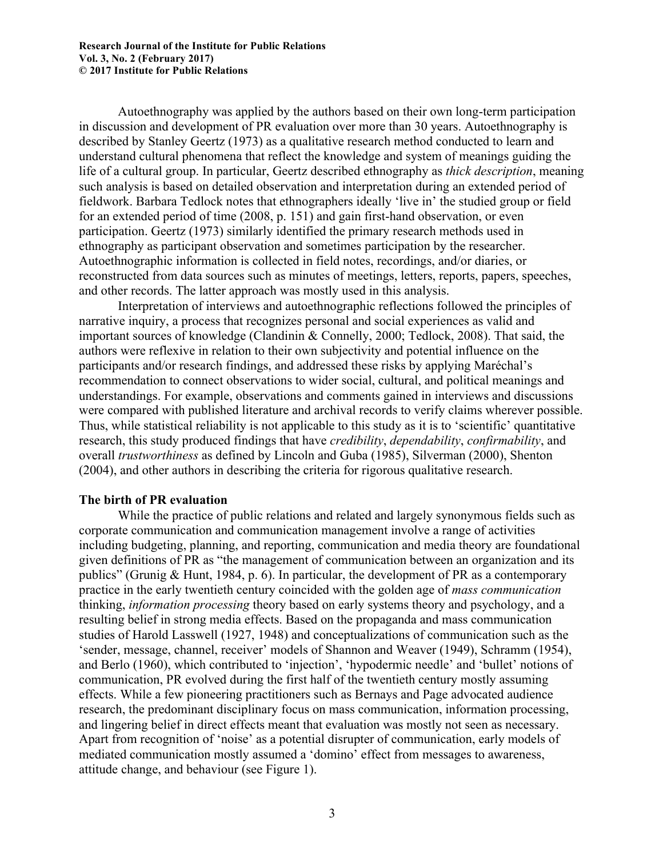Autoethnography was applied by the authors based on their own long-term participation in discussion and development of PR evaluation over more than 30 years. Autoethnography is described by Stanley Geertz (1973) as a qualitative research method conducted to learn and understand cultural phenomena that reflect the knowledge and system of meanings guiding the life of a cultural group. In particular, Geertz described ethnography as *thick description*, meaning such analysis is based on detailed observation and interpretation during an extended period of fieldwork. Barbara Tedlock notes that ethnographers ideally 'live in' the studied group or field for an extended period of time (2008, p. 151) and gain first-hand observation, or even participation. Geertz (1973) similarly identified the primary research methods used in ethnography as participant observation and sometimes participation by the researcher. Autoethnographic information is collected in field notes, recordings, and/or diaries, or reconstructed from data sources such as minutes of meetings, letters, reports, papers, speeches, and other records. The latter approach was mostly used in this analysis.

Interpretation of interviews and autoethnographic reflections followed the principles of narrative inquiry, a process that recognizes personal and social experiences as valid and important sources of knowledge (Clandinin & Connelly, 2000; Tedlock, 2008). That said, the authors were reflexive in relation to their own subjectivity and potential influence on the participants and/or research findings, and addressed these risks by applying Maréchal's recommendation to connect observations to wider social, cultural, and political meanings and understandings. For example, observations and comments gained in interviews and discussions were compared with published literature and archival records to verify claims wherever possible. Thus, while statistical reliability is not applicable to this study as it is to 'scientific' quantitative research, this study produced findings that have *credibility*, *dependability*, *confirmability*, and overall *trustworthiness* as defined by Lincoln and Guba (1985), Silverman (2000), Shenton (2004), and other authors in describing the criteria for rigorous qualitative research.

## **The birth of PR evaluation**

While the practice of public relations and related and largely synonymous fields such as corporate communication and communication management involve a range of activities including budgeting, planning, and reporting, communication and media theory are foundational given definitions of PR as "the management of communication between an organization and its publics" (Grunig & Hunt, 1984, p. 6). In particular, the development of PR as a contemporary practice in the early twentieth century coincided with the golden age of *mass communication* thinking, *information processing* theory based on early systems theory and psychology, and a resulting belief in strong media effects. Based on the propaganda and mass communication studies of Harold Lasswell (1927, 1948) and conceptualizations of communication such as the 'sender, message, channel, receiver' models of Shannon and Weaver (1949), Schramm (1954), and Berlo (1960), which contributed to 'injection', 'hypodermic needle' and 'bullet' notions of communication, PR evolved during the first half of the twentieth century mostly assuming effects. While a few pioneering practitioners such as Bernays and Page advocated audience research, the predominant disciplinary focus on mass communication, information processing, and lingering belief in direct effects meant that evaluation was mostly not seen as necessary. Apart from recognition of 'noise' as a potential disrupter of communication, early models of mediated communication mostly assumed a 'domino' effect from messages to awareness, attitude change, and behaviour (see Figure 1).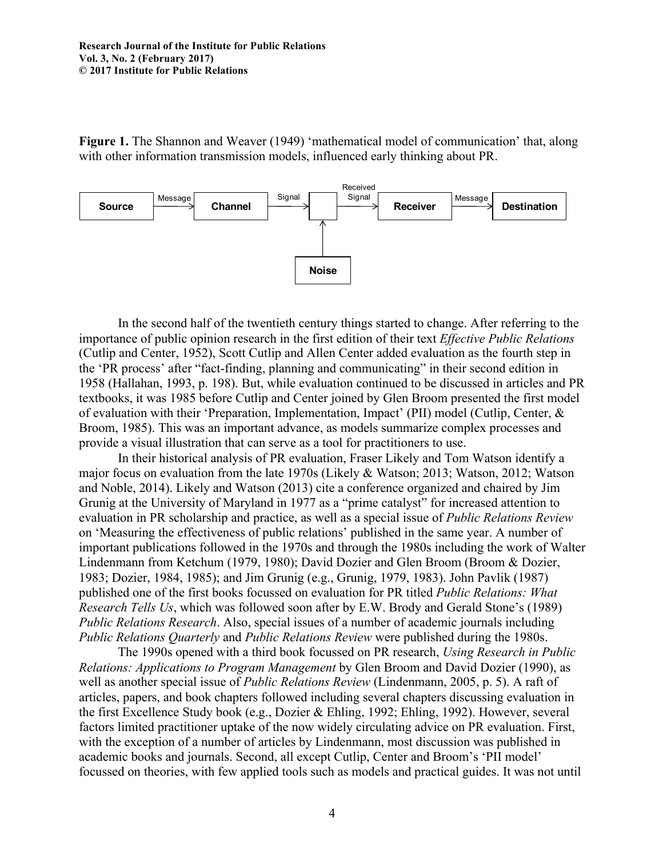**Figure 1.** The Shannon and Weaver (1949) 'mathematical model of communication' that, along with other information transmission models, influenced early thinking about PR.



In the second half of the twentieth century things started to change. After referring to the importance of public opinion research in the first edition of their text *Effective Public Relations* (Cutlip and Center, 1952), Scott Cutlip and Allen Center added evaluation as the fourth step in the 'PR process' after "fact-finding, planning and communicating" in their second edition in 1958 (Hallahan, 1993, p. 198). But, while evaluation continued to be discussed in articles and PR textbooks, it was 1985 before Cutlip and Center joined by Glen Broom presented the first model of evaluation with their 'Preparation, Implementation, Impact' (PII) model (Cutlip, Center, & Broom, 1985). This was an important advance, as models summarize complex processes and provide a visual illustration that can serve as a tool for practitioners to use.

In their historical analysis of PR evaluation, Fraser Likely and Tom Watson identify a major focus on evaluation from the late 1970s (Likely & Watson; 2013; Watson, 2012; Watson and Noble, 2014). Likely and Watson (2013) cite a conference organized and chaired by Jim Grunig at the University of Maryland in 1977 as a "prime catalyst" for increased attention to evaluation in PR scholarship and practice, as well as a special issue of *Public Relations Review* on 'Measuring the effectiveness of public relations' published in the same year. A number of important publications followed in the 1970s and through the 1980s including the work of Walter Lindenmann from Ketchum (1979, 1980); David Dozier and Glen Broom (Broom & Dozier, 1983; Dozier, 1984, 1985); and Jim Grunig (e.g., Grunig, 1979, 1983). John Pavlik (1987) published one of the first books focussed on evaluation for PR titled *Public Relations: What Research Tells Us*, which was followed soon after by E.W. Brody and Gerald Stone's (1989) *Public Relations Research*. Also, special issues of a number of academic journals including *Public Relations Quarterly* and *Public Relations Review* were published during the 1980s.

The 1990s opened with a third book focussed on PR research, *Using Research in Public Relations: Applications to Program Management* by Glen Broom and David Dozier (1990), as well as another special issue of *Public Relations Review* (Lindenmann, 2005, p. 5). A raft of articles, papers, and book chapters followed including several chapters discussing evaluation in the first Excellence Study book (e.g., Dozier & Ehling, 1992; Ehling, 1992). However, several factors limited practitioner uptake of the now widely circulating advice on PR evaluation. First, with the exception of a number of articles by Lindenmann, most discussion was published in academic books and journals. Second, all except Cutlip, Center and Broom's 'PII model' focussed on theories, with few applied tools such as models and practical guides. It was not until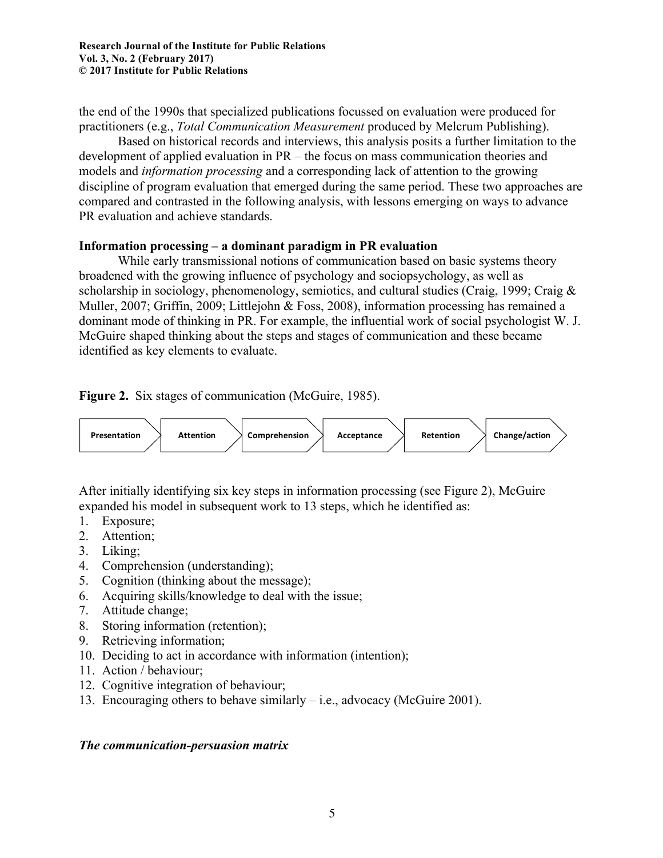the end of the 1990s that specialized publications focussed on evaluation were produced for practitioners (e.g., *Total Communication Measurement* produced by Melcrum Publishing).

Based on historical records and interviews, this analysis posits a further limitation to the development of applied evaluation in PR – the focus on mass communication theories and models and *information processing* and a corresponding lack of attention to the growing discipline of program evaluation that emerged during the same period. These two approaches are compared and contrasted in the following analysis, with lessons emerging on ways to advance PR evaluation and achieve standards.

## **Information processing – a dominant paradigm in PR evaluation**

While early transmissional notions of communication based on basic systems theory broadened with the growing influence of psychology and sociopsychology, as well as scholarship in sociology, phenomenology, semiotics, and cultural studies (Craig, 1999; Craig & Muller, 2007; Griffin, 2009; Littlejohn & Foss, 2008), information processing has remained a dominant mode of thinking in PR. For example, the influential work of social psychologist W. J. McGuire shaped thinking about the steps and stages of communication and these became identified as key elements to evaluate.

**Figure 2.** Six stages of communication (McGuire, 1985).



After initially identifying six key steps in information processing (see Figure 2), McGuire expanded his model in subsequent work to 13 steps, which he identified as:

- 1. Exposure;
- 2. Attention;
- 3. Liking;
- 4. Comprehension (understanding);
- 5. Cognition (thinking about the message);
- 6. Acquiring skills/knowledge to deal with the issue;
- 7. Attitude change;
- 8. Storing information (retention);
- 9. Retrieving information;
- 10. Deciding to act in accordance with information (intention);
- 11. Action / behaviour;
- 12. Cognitive integration of behaviour;
- 13. Encouraging others to behave similarly  $-$  i.e., advocacy (McGuire 2001).

# *The communication-persuasion matrix*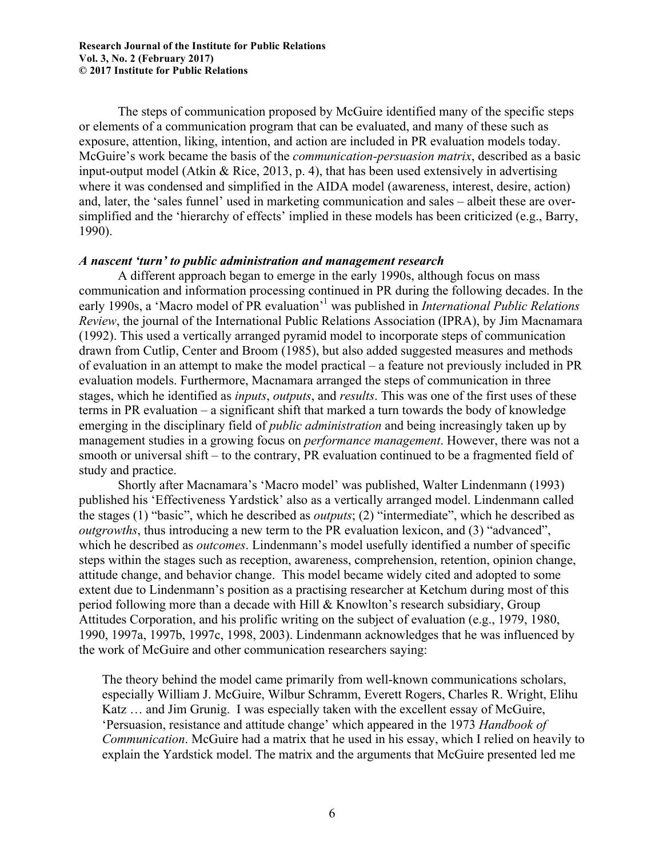The steps of communication proposed by McGuire identified many of the specific steps or elements of a communication program that can be evaluated, and many of these such as exposure, attention, liking, intention, and action are included in PR evaluation models today. McGuire's work became the basis of the *communication-persuasion matrix*, described as a basic input-output model (Atkin & Rice, 2013, p. 4), that has been used extensively in advertising where it was condensed and simplified in the AIDA model (awareness, interest, desire, action) and, later, the 'sales funnel' used in marketing communication and sales – albeit these are oversimplified and the 'hierarchy of effects' implied in these models has been criticized (e.g., Barry, 1990).

#### *A nascent 'turn' to public administration and management research*

A different approach began to emerge in the early 1990s, although focus on mass communication and information processing continued in PR during the following decades. In the early 1990s, a 'Macro model of PR evaluation'1 was published in *International Public Relations Review*, the journal of the International Public Relations Association (IPRA), by Jim Macnamara (1992). This used a vertically arranged pyramid model to incorporate steps of communication drawn from Cutlip, Center and Broom (1985), but also added suggested measures and methods of evaluation in an attempt to make the model practical – a feature not previously included in PR evaluation models. Furthermore, Macnamara arranged the steps of communication in three stages, which he identified as *inputs*, *outputs*, and *results*. This was one of the first uses of these terms in PR evaluation – a significant shift that marked a turn towards the body of knowledge emerging in the disciplinary field of *public administration* and being increasingly taken up by management studies in a growing focus on *performance management*. However, there was not a smooth or universal shift – to the contrary, PR evaluation continued to be a fragmented field of study and practice.

Shortly after Macnamara's 'Macro model' was published, Walter Lindenmann (1993) published his 'Effectiveness Yardstick' also as a vertically arranged model. Lindenmann called the stages (1) "basic", which he described as *outputs*; (2) "intermediate", which he described as *outgrowths*, thus introducing a new term to the PR evaluation lexicon, and (3) "advanced", which he described as *outcomes*. Lindenmann's model usefully identified a number of specific steps within the stages such as reception, awareness, comprehension, retention, opinion change, attitude change, and behavior change. This model became widely cited and adopted to some extent due to Lindenmann's position as a practising researcher at Ketchum during most of this period following more than a decade with Hill & Knowlton's research subsidiary, Group Attitudes Corporation, and his prolific writing on the subject of evaluation (e.g., 1979, 1980, 1990, 1997a, 1997b, 1997c, 1998, 2003). Lindenmann acknowledges that he was influenced by the work of McGuire and other communication researchers saying:

The theory behind the model came primarily from well-known communications scholars, especially William J. McGuire, Wilbur Schramm, Everett Rogers, Charles R. Wright, Elihu Katz … and Jim Grunig. I was especially taken with the excellent essay of McGuire, 'Persuasion, resistance and attitude change' which appeared in the 1973 *Handbook of Communication*. McGuire had a matrix that he used in his essay, which I relied on heavily to explain the Yardstick model. The matrix and the arguments that McGuire presented led me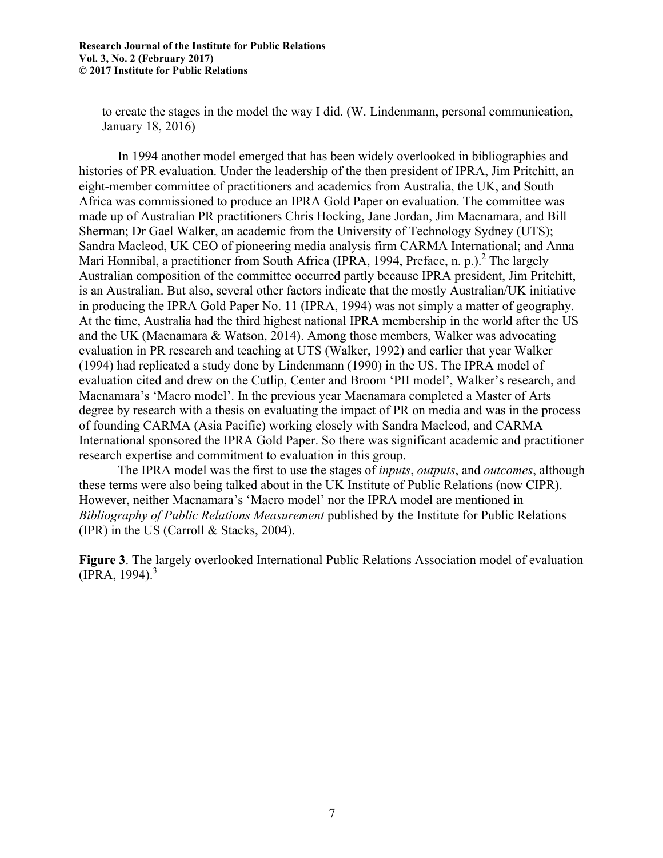to create the stages in the model the way I did. (W. Lindenmann, personal communication, January 18, 2016)

In 1994 another model emerged that has been widely overlooked in bibliographies and histories of PR evaluation. Under the leadership of the then president of IPRA, Jim Pritchitt, an eight-member committee of practitioners and academics from Australia, the UK, and South Africa was commissioned to produce an IPRA Gold Paper on evaluation. The committee was made up of Australian PR practitioners Chris Hocking, Jane Jordan, Jim Macnamara, and Bill Sherman; Dr Gael Walker, an academic from the University of Technology Sydney (UTS); Sandra Macleod, UK CEO of pioneering media analysis firm CARMA International; and Anna Mari Honnibal, a practitioner from South Africa (IPRA, 1994, Preface, n. p.).<sup>2</sup> The largely Australian composition of the committee occurred partly because IPRA president, Jim Pritchitt, is an Australian. But also, several other factors indicate that the mostly Australian/UK initiative in producing the IPRA Gold Paper No. 11 (IPRA, 1994) was not simply a matter of geography. At the time, Australia had the third highest national IPRA membership in the world after the US and the UK (Macnamara & Watson, 2014). Among those members, Walker was advocating evaluation in PR research and teaching at UTS (Walker, 1992) and earlier that year Walker (1994) had replicated a study done by Lindenmann (1990) in the US. The IPRA model of evaluation cited and drew on the Cutlip, Center and Broom 'PII model', Walker's research, and Macnamara's 'Macro model'. In the previous year Macnamara completed a Master of Arts degree by research with a thesis on evaluating the impact of PR on media and was in the process of founding CARMA (Asia Pacific) working closely with Sandra Macleod, and CARMA International sponsored the IPRA Gold Paper. So there was significant academic and practitioner research expertise and commitment to evaluation in this group.

The IPRA model was the first to use the stages of *inputs*, *outputs*, and *outcomes*, although these terms were also being talked about in the UK Institute of Public Relations (now CIPR). However, neither Macnamara's 'Macro model' nor the IPRA model are mentioned in *Bibliography of Public Relations Measurement* published by the Institute for Public Relations (IPR) in the US (Carroll  $&$  Stacks, 2004).

**Figure 3**. The largely overlooked International Public Relations Association model of evaluation  $(IPRA, 1994).$ <sup>3</sup>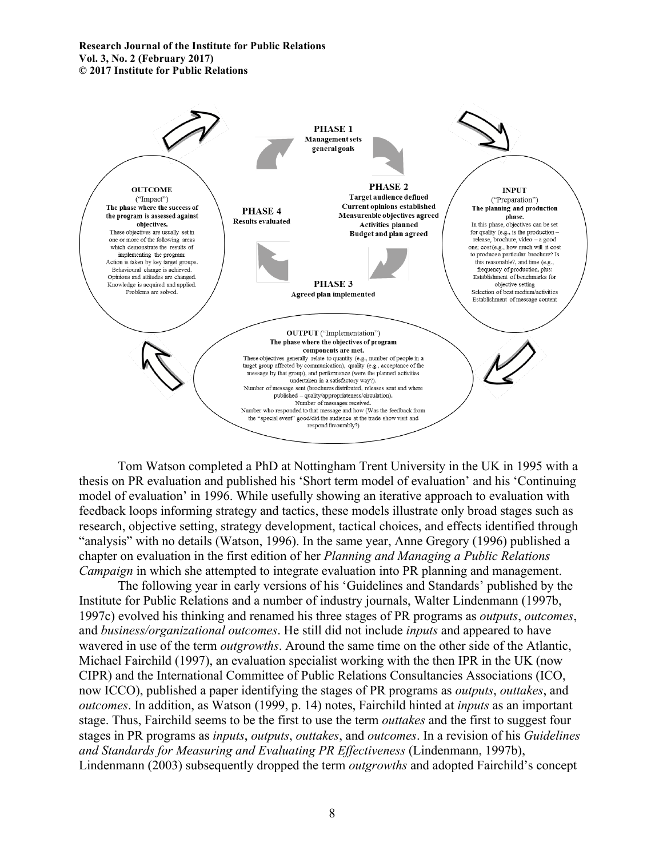

Tom Watson completed a PhD at Nottingham Trent University in the UK in 1995 with a thesis on PR evaluation and published his 'Short term model of evaluation' and his 'Continuing model of evaluation' in 1996. While usefully showing an iterative approach to evaluation with feedback loops informing strategy and tactics, these models illustrate only broad stages such as research, objective setting, strategy development, tactical choices, and effects identified through "analysis" with no details (Watson, 1996). In the same year, Anne Gregory (1996) published a chapter on evaluation in the first edition of her *Planning and Managing a Public Relations Campaign* in which she attempted to integrate evaluation into PR planning and management.

The following year in early versions of his 'Guidelines and Standards' published by the Institute for Public Relations and a number of industry journals, Walter Lindenmann (1997b, 1997c) evolved his thinking and renamed his three stages of PR programs as *outputs*, *outcomes*, and *business/organizational outcomes*. He still did not include *inputs* and appeared to have wavered in use of the term *outgrowths*. Around the same time on the other side of the Atlantic, Michael Fairchild (1997), an evaluation specialist working with the then IPR in the UK (now CIPR) and the International Committee of Public Relations Consultancies Associations (ICO, now ICCO), published a paper identifying the stages of PR programs as *outputs*, *outtakes*, and *outcomes*. In addition, as Watson (1999, p. 14) notes, Fairchild hinted at *inputs* as an important stage. Thus, Fairchild seems to be the first to use the term *outtakes* and the first to suggest four stages in PR programs as *inputs*, *outputs*, *outtakes*, and *outcomes*. In a revision of his *Guidelines and Standards for Measuring and Evaluating PR Effectiveness* (Lindenmann, 1997b), Lindenmann (2003) subsequently dropped the term *outgrowths* and adopted Fairchild's concept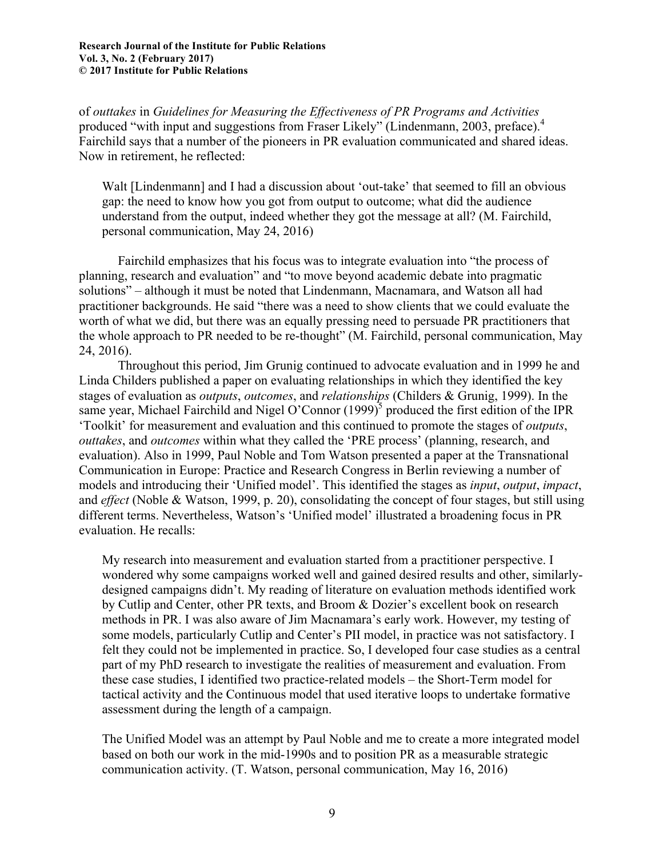of *outtakes* in *Guidelines for Measuring the Effectiveness of PR Programs and Activities*  produced "with input and suggestions from Fraser Likely" (Lindenmann, 2003, preface). 4 Fairchild says that a number of the pioneers in PR evaluation communicated and shared ideas. Now in retirement, he reflected:

Walt [Lindenmann] and I had a discussion about 'out-take' that seemed to fill an obvious gap: the need to know how you got from output to outcome; what did the audience understand from the output, indeed whether they got the message at all? (M. Fairchild, personal communication, May 24, 2016)

Fairchild emphasizes that his focus was to integrate evaluation into "the process of planning, research and evaluation" and "to move beyond academic debate into pragmatic solutions" – although it must be noted that Lindenmann, Macnamara, and Watson all had practitioner backgrounds. He said "there was a need to show clients that we could evaluate the worth of what we did, but there was an equally pressing need to persuade PR practitioners that the whole approach to PR needed to be re-thought" (M. Fairchild, personal communication, May 24, 2016).

Throughout this period, Jim Grunig continued to advocate evaluation and in 1999 he and Linda Childers published a paper on evaluating relationships in which they identified the key stages of evaluation as *outputs*, *outcomes*, and *relationships* (Childers & Grunig, 1999). In the same year, Michael Fairchild and Nigel O'Connor  $(1999)^5$  produced the first edition of the IPR 'Toolkit' for measurement and evaluation and this continued to promote the stages of *outputs*, *outtakes*, and *outcomes* within what they called the 'PRE process' (planning, research, and evaluation). Also in 1999, Paul Noble and Tom Watson presented a paper at the Transnational Communication in Europe: Practice and Research Congress in Berlin reviewing a number of models and introducing their 'Unified model'. This identified the stages as *input*, *output*, *impact*, and *effect* (Noble & Watson, 1999, p. 20), consolidating the concept of four stages, but still using different terms. Nevertheless, Watson's 'Unified model' illustrated a broadening focus in PR evaluation. He recalls:

My research into measurement and evaluation started from a practitioner perspective. I wondered why some campaigns worked well and gained desired results and other, similarlydesigned campaigns didn't. My reading of literature on evaluation methods identified work by Cutlip and Center, other PR texts, and Broom & Dozier's excellent book on research methods in PR. I was also aware of Jim Macnamara's early work. However, my testing of some models, particularly Cutlip and Center's PII model, in practice was not satisfactory. I felt they could not be implemented in practice. So, I developed four case studies as a central part of my PhD research to investigate the realities of measurement and evaluation. From these case studies, I identified two practice-related models – the Short-Term model for tactical activity and the Continuous model that used iterative loops to undertake formative assessment during the length of a campaign.

The Unified Model was an attempt by Paul Noble and me to create a more integrated model based on both our work in the mid-1990s and to position PR as a measurable strategic communication activity. (T. Watson, personal communication, May 16, 2016)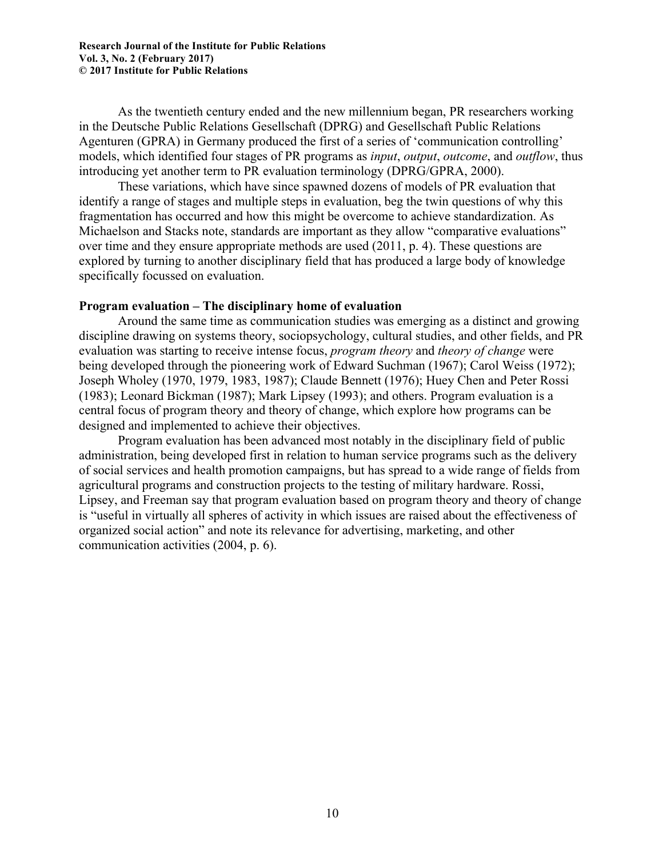As the twentieth century ended and the new millennium began, PR researchers working in the Deutsche Public Relations Gesellschaft (DPRG) and Gesellschaft Public Relations Agenturen (GPRA) in Germany produced the first of a series of 'communication controlling' models, which identified four stages of PR programs as *input*, *output*, *outcome*, and *outflow*, thus introducing yet another term to PR evaluation terminology (DPRG/GPRA, 2000).

These variations, which have since spawned dozens of models of PR evaluation that identify a range of stages and multiple steps in evaluation, beg the twin questions of why this fragmentation has occurred and how this might be overcome to achieve standardization. As Michaelson and Stacks note, standards are important as they allow "comparative evaluations" over time and they ensure appropriate methods are used (2011, p. 4). These questions are explored by turning to another disciplinary field that has produced a large body of knowledge specifically focussed on evaluation.

#### **Program evaluation – The disciplinary home of evaluation**

Around the same time as communication studies was emerging as a distinct and growing discipline drawing on systems theory, sociopsychology, cultural studies, and other fields, and PR evaluation was starting to receive intense focus, *program theory* and *theory of change* were being developed through the pioneering work of Edward Suchman (1967); Carol Weiss (1972); Joseph Wholey (1970, 1979, 1983, 1987); Claude Bennett (1976); Huey Chen and Peter Rossi (1983); Leonard Bickman (1987); Mark Lipsey (1993); and others. Program evaluation is a central focus of program theory and theory of change, which explore how programs can be designed and implemented to achieve their objectives.

Program evaluation has been advanced most notably in the disciplinary field of public administration, being developed first in relation to human service programs such as the delivery of social services and health promotion campaigns, but has spread to a wide range of fields from agricultural programs and construction projects to the testing of military hardware. Rossi, Lipsey, and Freeman say that program evaluation based on program theory and theory of change is "useful in virtually all spheres of activity in which issues are raised about the effectiveness of organized social action" and note its relevance for advertising, marketing, and other communication activities (2004, p. 6).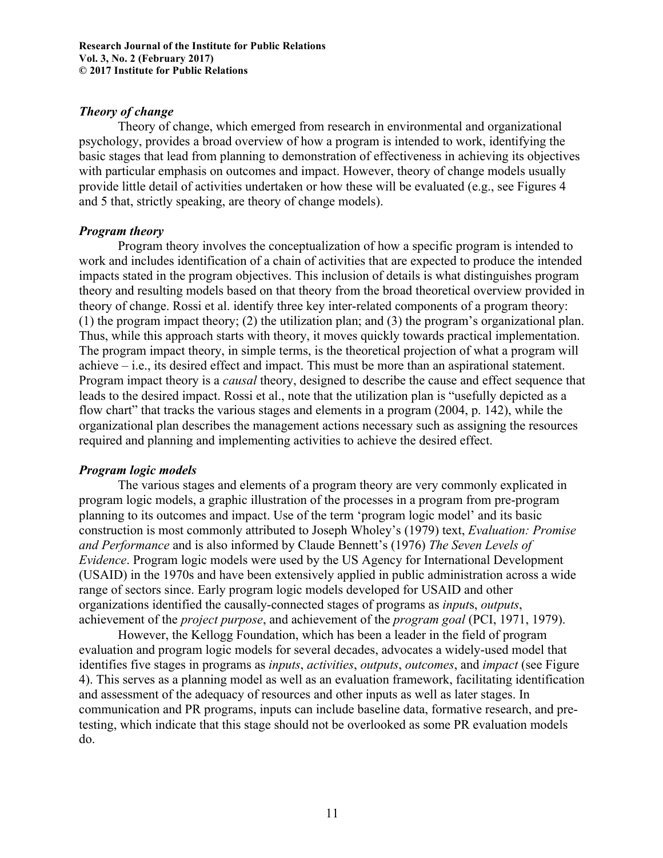## *Theory of change*

Theory of change, which emerged from research in environmental and organizational psychology, provides a broad overview of how a program is intended to work, identifying the basic stages that lead from planning to demonstration of effectiveness in achieving its objectives with particular emphasis on outcomes and impact. However, theory of change models usually provide little detail of activities undertaken or how these will be evaluated (e.g., see Figures 4 and 5 that, strictly speaking, are theory of change models).

## *Program theory*

Program theory involves the conceptualization of how a specific program is intended to work and includes identification of a chain of activities that are expected to produce the intended impacts stated in the program objectives. This inclusion of details is what distinguishes program theory and resulting models based on that theory from the broad theoretical overview provided in theory of change. Rossi et al. identify three key inter-related components of a program theory: (1) the program impact theory; (2) the utilization plan; and (3) the program's organizational plan. Thus, while this approach starts with theory, it moves quickly towards practical implementation. The program impact theory, in simple terms, is the theoretical projection of what a program will achieve – i.e., its desired effect and impact. This must be more than an aspirational statement. Program impact theory is a *causal* theory, designed to describe the cause and effect sequence that leads to the desired impact. Rossi et al., note that the utilization plan is "usefully depicted as a flow chart" that tracks the various stages and elements in a program (2004, p. 142), while the organizational plan describes the management actions necessary such as assigning the resources required and planning and implementing activities to achieve the desired effect.

# *Program logic models*

The various stages and elements of a program theory are very commonly explicated in program logic models, a graphic illustration of the processes in a program from pre-program planning to its outcomes and impact. Use of the term 'program logic model' and its basic construction is most commonly attributed to Joseph Wholey's (1979) text, *Evaluation: Promise and Performance* and is also informed by Claude Bennett's (1976) *The Seven Levels of Evidence*. Program logic models were used by the US Agency for International Development (USAID) in the 1970s and have been extensively applied in public administration across a wide range of sectors since. Early program logic models developed for USAID and other organizations identified the causally-connected stages of programs as *input*s, *outputs*, achievement of the *project purpose*, and achievement of the *program goal* (PCI, 1971, 1979).

However, the Kellogg Foundation, which has been a leader in the field of program evaluation and program logic models for several decades, advocates a widely-used model that identifies five stages in programs as *inputs*, *activities*, *outputs*, *outcomes*, and *impact* (see Figure 4). This serves as a planning model as well as an evaluation framework, facilitating identification and assessment of the adequacy of resources and other inputs as well as later stages. In communication and PR programs, inputs can include baseline data, formative research, and pretesting, which indicate that this stage should not be overlooked as some PR evaluation models do.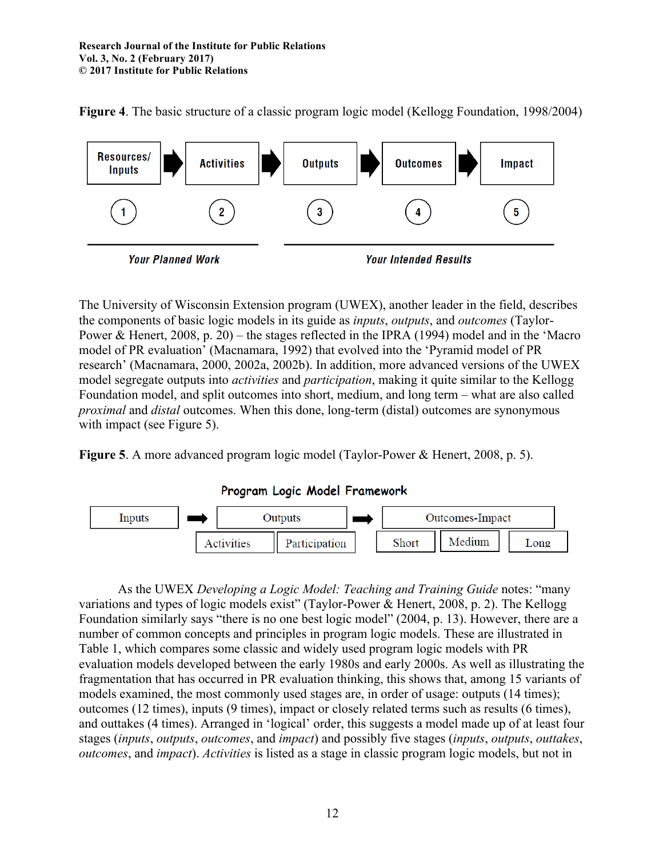**Figure 4**. The basic structure of a classic program logic model (Kellogg Foundation, 1998/2004)



The University of Wisconsin Extension program (UWEX), another leader in the field, describes the components of basic logic models in its guide as *inputs*, *outputs*, and *outcomes* (Taylor-Power & Henert, 2008, p. 20) – the stages reflected in the IPRA (1994) model and in the 'Macro model of PR evaluation' (Macnamara, 1992) that evolved into the 'Pyramid model of PR research' (Macnamara, 2000, 2002a, 2002b). In addition, more advanced versions of the UWEX model segregate outputs into *activities* and *participation*, making it quite similar to the Kellogg Foundation model, and split outcomes into short, medium, and long term – what are also called *proximal* and *distal* outcomes. When this done, long-term (distal) outcomes are synonymous with impact (see Figure 5).

**Figure 5**. A more advanced program logic model (Taylor-Power & Henert, 2008, p. 5).

Program Logic Model Framework



As the UWEX *Developing a Logic Model: Teaching and Training Guide* notes: "many variations and types of logic models exist" (Taylor-Power & Henert, 2008, p. 2). The Kellogg Foundation similarly says "there is no one best logic model" (2004, p. 13). However, there are a number of common concepts and principles in program logic models. These are illustrated in Table 1, which compares some classic and widely used program logic models with PR evaluation models developed between the early 1980s and early 2000s. As well as illustrating the fragmentation that has occurred in PR evaluation thinking, this shows that, among 15 variants of models examined, the most commonly used stages are, in order of usage: outputs (14 times); outcomes (12 times), inputs (9 times), impact or closely related terms such as results (6 times), and outtakes (4 times). Arranged in 'logical' order, this suggests a model made up of at least four stages (*inputs*, *outputs*, *outcomes*, and *impact*) and possibly five stages (*inputs*, *outputs*, *outtakes*, *outcomes*, and *impact*). *Activities* is listed as a stage in classic program logic models, but not in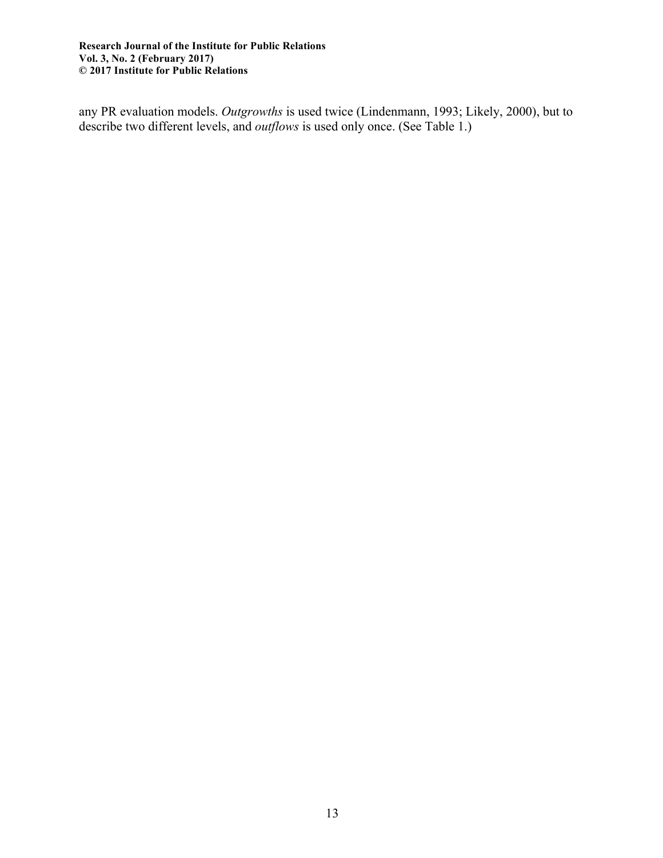any PR evaluation models. *Outgrowths* is used twice (Lindenmann, 1993; Likely, 2000), but to describe two different levels, and *outflows* is used only once. (See Table 1.)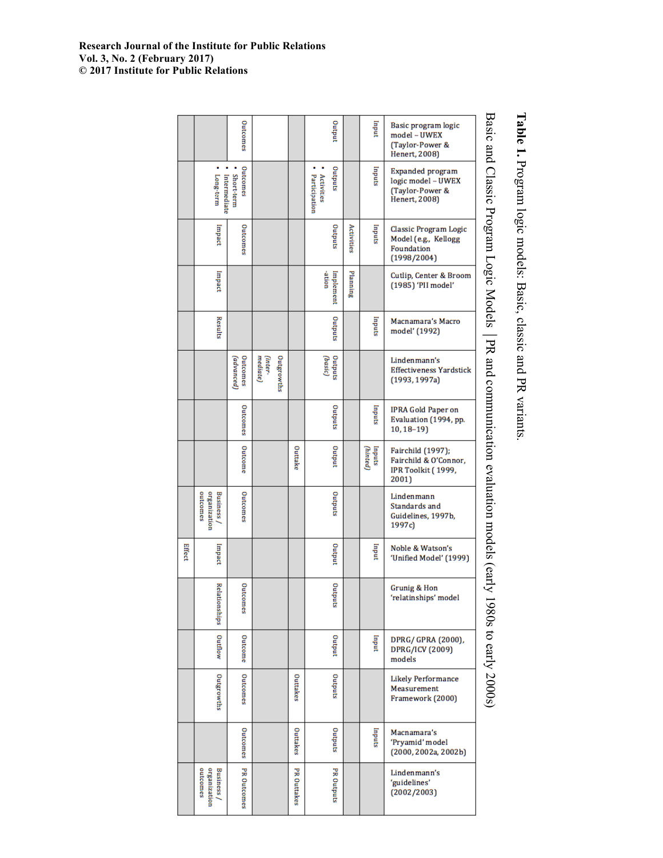| Basic and Classic Program Logic Models<br>Outcomes<br>Juque<br><b>uput</b><br>Basic program logic<br>model – UWEX<br>(Taylor-Power &<br>Henert, 2008)<br>Outcomes<br>Sandano<br>Inputs<br>Expanded program<br>Long-term<br>Activities<br>Intermediate<br>Short-term<br>Participation<br>logic model – UWEX<br>(Taylor-Power &<br>Henert, 2008)<br>Outcomes<br>Sandano<br>lmpact<br>Activities<br>sandur<br>Classic Program Logic<br>Model (e.g., Kellogg<br>Foundation<br>(1998/2004)<br>Planning<br>lmpact<br>-ation<br>Implement<br>Cutlip, Center & Broom<br>(1985) 'PII model'<br>Sandano<br>Results<br>Inputs<br>Macnamara's Macro<br>model' (1992)<br>PR and communication evaluation models (early<br>Outcomes<br>mediate)<br>(inter-<br>Sandano<br>(advanced)<br>(basic)<br>Outgrowths<br>Lindenmann's<br><b>Effectiveness Yardstick</b><br>(1993, 1997a)<br>Outcomes<br>Sandano<br>sandur<br>IPRA Gold Paper on<br>Evaluation (1994, pp.<br>$10, 18 - 19$<br>Outcome<br>Juque<br>Outtake<br>(hinted)<br>sanduj<br>Fairchild (1997);<br>Fairchild & O'Connor,<br>IPR Toolkit (1999,<br>2001)<br>outcomes<br>organization<br>Outcomes<br>Sandano<br>Business /<br>Lindenmann<br>Standards and<br>Guidelines, 1997b,<br>1997c)<br>Effect<br>Juque<br>Noble & Watson's<br>Impact<br>undur<br>'Unified Model' (1999)<br>Outcomes<br>Sandano<br>Rela<br>Grunig & Hon<br>'relatinships' model<br>tionships<br>1980s to early 2000s)<br>Outflow<br>Outcome<br>Juque<br>Inquit<br>DPRG/ GPRA (2000),<br>DPRG/ICV (2009)<br>models<br>Outcomes<br>Outgrowths<br>Sandano<br>Outtakes<br><b>Likely Performance</b><br>Measurement<br>Framework (2000)<br>Outcomes<br>Sandano<br>Outtakes<br>sanduj<br>Macnamara's<br>'Pryamid' model<br>(2000, 2002a, 2002b)<br>PR Outcomes<br>outcomes<br>organization<br><b>PR Outtakes</b><br><b>PROutputs</b><br><b>Business</b> /<br>Lindenmann's<br>'guidelines'<br>(2002/2003) |  |  |  |  |  |  |
|--------------------------------------------------------------------------------------------------------------------------------------------------------------------------------------------------------------------------------------------------------------------------------------------------------------------------------------------------------------------------------------------------------------------------------------------------------------------------------------------------------------------------------------------------------------------------------------------------------------------------------------------------------------------------------------------------------------------------------------------------------------------------------------------------------------------------------------------------------------------------------------------------------------------------------------------------------------------------------------------------------------------------------------------------------------------------------------------------------------------------------------------------------------------------------------------------------------------------------------------------------------------------------------------------------------------------------------------------------------------------------------------------------------------------------------------------------------------------------------------------------------------------------------------------------------------------------------------------------------------------------------------------------------------------------------------------------------------------------------------------------------------------------------------------------------------------------------------------------------------------------------------------------------------|--|--|--|--|--|--|
|                                                                                                                                                                                                                                                                                                                                                                                                                                                                                                                                                                                                                                                                                                                                                                                                                                                                                                                                                                                                                                                                                                                                                                                                                                                                                                                                                                                                                                                                                                                                                                                                                                                                                                                                                                                                                                                                                                                    |  |  |  |  |  |  |
|                                                                                                                                                                                                                                                                                                                                                                                                                                                                                                                                                                                                                                                                                                                                                                                                                                                                                                                                                                                                                                                                                                                                                                                                                                                                                                                                                                                                                                                                                                                                                                                                                                                                                                                                                                                                                                                                                                                    |  |  |  |  |  |  |
|                                                                                                                                                                                                                                                                                                                                                                                                                                                                                                                                                                                                                                                                                                                                                                                                                                                                                                                                                                                                                                                                                                                                                                                                                                                                                                                                                                                                                                                                                                                                                                                                                                                                                                                                                                                                                                                                                                                    |  |  |  |  |  |  |
|                                                                                                                                                                                                                                                                                                                                                                                                                                                                                                                                                                                                                                                                                                                                                                                                                                                                                                                                                                                                                                                                                                                                                                                                                                                                                                                                                                                                                                                                                                                                                                                                                                                                                                                                                                                                                                                                                                                    |  |  |  |  |  |  |
|                                                                                                                                                                                                                                                                                                                                                                                                                                                                                                                                                                                                                                                                                                                                                                                                                                                                                                                                                                                                                                                                                                                                                                                                                                                                                                                                                                                                                                                                                                                                                                                                                                                                                                                                                                                                                                                                                                                    |  |  |  |  |  |  |
|                                                                                                                                                                                                                                                                                                                                                                                                                                                                                                                                                                                                                                                                                                                                                                                                                                                                                                                                                                                                                                                                                                                                                                                                                                                                                                                                                                                                                                                                                                                                                                                                                                                                                                                                                                                                                                                                                                                    |  |  |  |  |  |  |
|                                                                                                                                                                                                                                                                                                                                                                                                                                                                                                                                                                                                                                                                                                                                                                                                                                                                                                                                                                                                                                                                                                                                                                                                                                                                                                                                                                                                                                                                                                                                                                                                                                                                                                                                                                                                                                                                                                                    |  |  |  |  |  |  |
|                                                                                                                                                                                                                                                                                                                                                                                                                                                                                                                                                                                                                                                                                                                                                                                                                                                                                                                                                                                                                                                                                                                                                                                                                                                                                                                                                                                                                                                                                                                                                                                                                                                                                                                                                                                                                                                                                                                    |  |  |  |  |  |  |
|                                                                                                                                                                                                                                                                                                                                                                                                                                                                                                                                                                                                                                                                                                                                                                                                                                                                                                                                                                                                                                                                                                                                                                                                                                                                                                                                                                                                                                                                                                                                                                                                                                                                                                                                                                                                                                                                                                                    |  |  |  |  |  |  |
|                                                                                                                                                                                                                                                                                                                                                                                                                                                                                                                                                                                                                                                                                                                                                                                                                                                                                                                                                                                                                                                                                                                                                                                                                                                                                                                                                                                                                                                                                                                                                                                                                                                                                                                                                                                                                                                                                                                    |  |  |  |  |  |  |
|                                                                                                                                                                                                                                                                                                                                                                                                                                                                                                                                                                                                                                                                                                                                                                                                                                                                                                                                                                                                                                                                                                                                                                                                                                                                                                                                                                                                                                                                                                                                                                                                                                                                                                                                                                                                                                                                                                                    |  |  |  |  |  |  |
|                                                                                                                                                                                                                                                                                                                                                                                                                                                                                                                                                                                                                                                                                                                                                                                                                                                                                                                                                                                                                                                                                                                                                                                                                                                                                                                                                                                                                                                                                                                                                                                                                                                                                                                                                                                                                                                                                                                    |  |  |  |  |  |  |
|                                                                                                                                                                                                                                                                                                                                                                                                                                                                                                                                                                                                                                                                                                                                                                                                                                                                                                                                                                                                                                                                                                                                                                                                                                                                                                                                                                                                                                                                                                                                                                                                                                                                                                                                                                                                                                                                                                                    |  |  |  |  |  |  |
|                                                                                                                                                                                                                                                                                                                                                                                                                                                                                                                                                                                                                                                                                                                                                                                                                                                                                                                                                                                                                                                                                                                                                                                                                                                                                                                                                                                                                                                                                                                                                                                                                                                                                                                                                                                                                                                                                                                    |  |  |  |  |  |  |
|                                                                                                                                                                                                                                                                                                                                                                                                                                                                                                                                                                                                                                                                                                                                                                                                                                                                                                                                                                                                                                                                                                                                                                                                                                                                                                                                                                                                                                                                                                                                                                                                                                                                                                                                                                                                                                                                                                                    |  |  |  |  |  |  |

Table 1. Program logic models: Basic, classic and PR variants. Program logic models: Basic, classic and PR variants.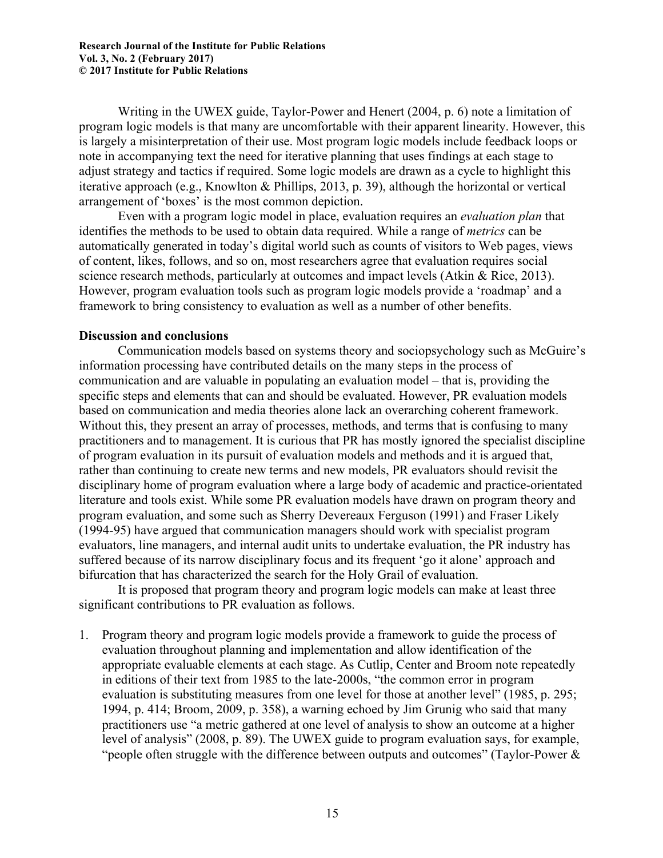Writing in the UWEX guide, Taylor-Power and Henert (2004, p. 6) note a limitation of program logic models is that many are uncomfortable with their apparent linearity. However, this is largely a misinterpretation of their use. Most program logic models include feedback loops or note in accompanying text the need for iterative planning that uses findings at each stage to adjust strategy and tactics if required. Some logic models are drawn as a cycle to highlight this iterative approach (e.g., Knowlton & Phillips, 2013, p. 39), although the horizontal or vertical arrangement of 'boxes' is the most common depiction.

Even with a program logic model in place, evaluation requires an *evaluation plan* that identifies the methods to be used to obtain data required. While a range of *metrics* can be automatically generated in today's digital world such as counts of visitors to Web pages, views of content, likes, follows, and so on, most researchers agree that evaluation requires social science research methods, particularly at outcomes and impact levels (Atkin & Rice, 2013). However, program evaluation tools such as program logic models provide a 'roadmap' and a framework to bring consistency to evaluation as well as a number of other benefits.

# **Discussion and conclusions**

Communication models based on systems theory and sociopsychology such as McGuire's information processing have contributed details on the many steps in the process of communication and are valuable in populating an evaluation model – that is, providing the specific steps and elements that can and should be evaluated. However, PR evaluation models based on communication and media theories alone lack an overarching coherent framework. Without this, they present an array of processes, methods, and terms that is confusing to many practitioners and to management. It is curious that PR has mostly ignored the specialist discipline of program evaluation in its pursuit of evaluation models and methods and it is argued that, rather than continuing to create new terms and new models, PR evaluators should revisit the disciplinary home of program evaluation where a large body of academic and practice-orientated literature and tools exist. While some PR evaluation models have drawn on program theory and program evaluation, and some such as Sherry Devereaux Ferguson (1991) and Fraser Likely (1994-95) have argued that communication managers should work with specialist program evaluators, line managers, and internal audit units to undertake evaluation, the PR industry has suffered because of its narrow disciplinary focus and its frequent 'go it alone' approach and bifurcation that has characterized the search for the Holy Grail of evaluation.

It is proposed that program theory and program logic models can make at least three significant contributions to PR evaluation as follows.

1. Program theory and program logic models provide a framework to guide the process of evaluation throughout planning and implementation and allow identification of the appropriate evaluable elements at each stage. As Cutlip, Center and Broom note repeatedly in editions of their text from 1985 to the late-2000s, "the common error in program evaluation is substituting measures from one level for those at another level" (1985, p. 295; 1994, p. 414; Broom, 2009, p. 358), a warning echoed by Jim Grunig who said that many practitioners use "a metric gathered at one level of analysis to show an outcome at a higher level of analysis" (2008, p. 89). The UWEX guide to program evaluation says, for example, "people often struggle with the difference between outputs and outcomes" (Taylor-Power  $\&$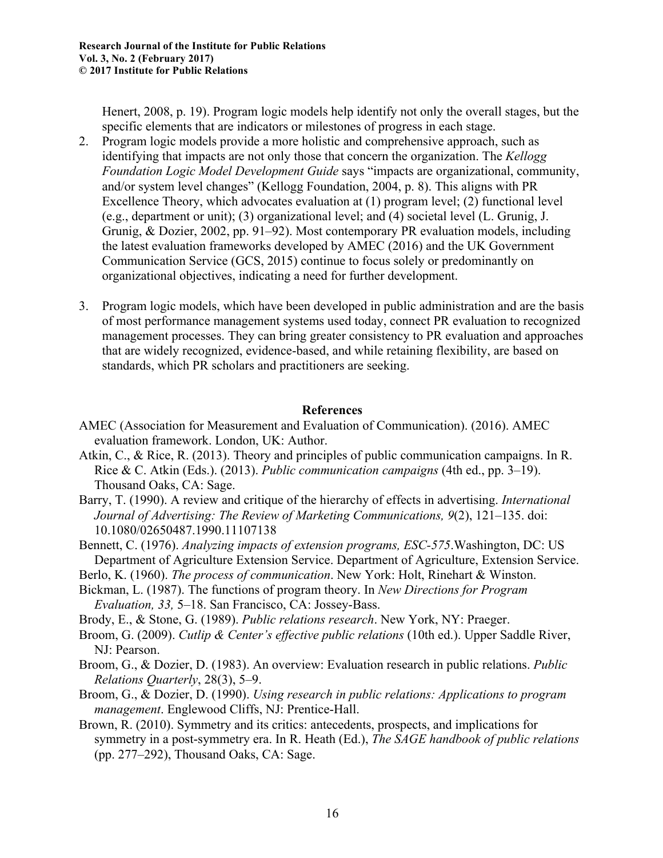Henert, 2008, p. 19). Program logic models help identify not only the overall stages, but the specific elements that are indicators or milestones of progress in each stage.

- 2. Program logic models provide a more holistic and comprehensive approach, such as identifying that impacts are not only those that concern the organization. The *Kellogg Foundation Logic Model Development Guide* says "impacts are organizational, community, and/or system level changes" (Kellogg Foundation, 2004, p. 8). This aligns with PR Excellence Theory, which advocates evaluation at (1) program level; (2) functional level (e.g., department or unit); (3) organizational level; and (4) societal level (L. Grunig, J. Grunig, & Dozier, 2002, pp. 91–92). Most contemporary PR evaluation models, including the latest evaluation frameworks developed by AMEC (2016) and the UK Government Communication Service (GCS, 2015) continue to focus solely or predominantly on organizational objectives, indicating a need for further development.
- 3. Program logic models, which have been developed in public administration and are the basis of most performance management systems used today, connect PR evaluation to recognized management processes. They can bring greater consistency to PR evaluation and approaches that are widely recognized, evidence-based, and while retaining flexibility, are based on standards, which PR scholars and practitioners are seeking.

# **References**

- AMEC (Association for Measurement and Evaluation of Communication). (2016). AMEC evaluation framework. London, UK: Author.
- Atkin, C., & Rice, R. (2013). Theory and principles of public communication campaigns. In R. Rice & C. Atkin (Eds.). (2013). *Public communication campaigns* (4th ed., pp. 3–19). Thousand Oaks, CA: Sage.
- Barry, T. (1990). A review and critique of the hierarchy of effects in advertising. *International Journal of Advertising: The Review of Marketing Communications, 9*(2), 121–135. doi: 10.1080/02650487.1990.11107138
- Bennett, C. (1976). *Analyzing impacts of extension programs, ESC-575*.Washington, DC: US Department of Agriculture Extension Service. Department of Agriculture, Extension Service.
- Berlo, K. (1960). *The process of communication*. New York: Holt, Rinehart & Winston.
- Bickman, L. (1987). The functions of program theory. In *New Directions for Program Evaluation, 33,* 5–18. San Francisco, CA: Jossey-Bass.
- Brody, E., & Stone, G. (1989). *Public relations research*. New York, NY: Praeger.
- Broom, G. (2009). *Cutlip & Center's effective public relations* (10th ed.). Upper Saddle River, NJ: Pearson.
- Broom, G., & Dozier, D. (1983). An overview: Evaluation research in public relations. *Public Relations Quarterly*, 28(3), 5–9.
- Broom, G., & Dozier, D. (1990). *Using research in public relations: Applications to program management*. Englewood Cliffs, NJ: Prentice-Hall.
- Brown, R. (2010). Symmetry and its critics: antecedents, prospects, and implications for symmetry in a post-symmetry era. In R. Heath (Ed.), *The SAGE handbook of public relations* (pp. 277–292), Thousand Oaks, CA: Sage.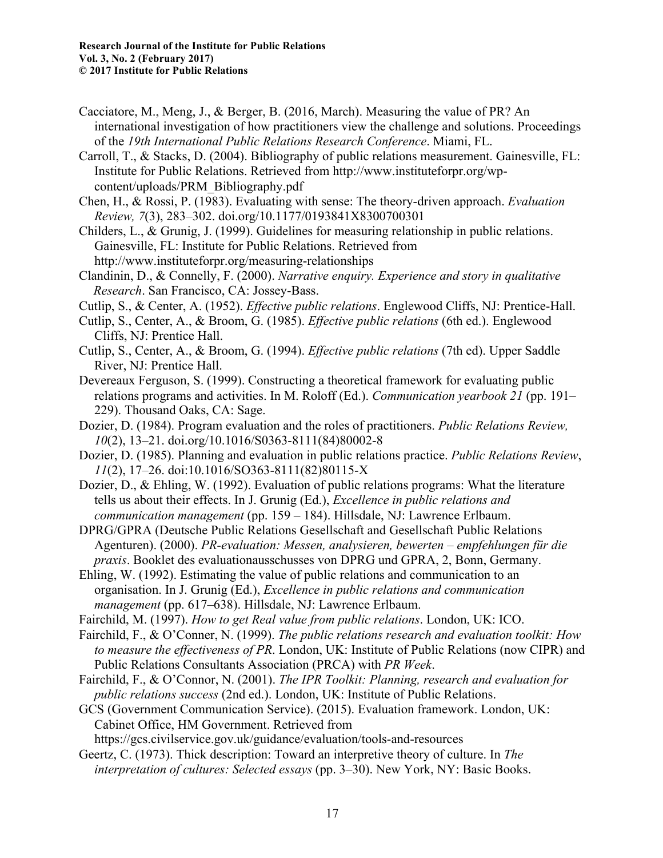- Cacciatore, M., Meng, J., & Berger, B. (2016, March). Measuring the value of PR? An international investigation of how practitioners view the challenge and solutions. Proceedings of the *19th International Public Relations Research Conference*. Miami, FL.
- Carroll, T., & Stacks, D. (2004). Bibliography of public relations measurement. Gainesville, FL: Institute for Public Relations. Retrieved from http://www.instituteforpr.org/wpcontent/uploads/PRM\_Bibliography.pdf
- Chen, H., & Rossi, P. (1983). Evaluating with sense: The theory-driven approach. *Evaluation Review, 7*(3), 283–302. doi.org/10.1177/0193841X8300700301
- Childers, L., & Grunig, J. (1999). Guidelines for measuring relationship in public relations. Gainesville, FL: Institute for Public Relations. Retrieved from http://www.instituteforpr.org/measuring-relationships
- Clandinin, D., & Connelly, F. (2000). *Narrative enquiry. Experience and story in qualitative Research*. San Francisco, CA: Jossey-Bass.
- Cutlip, S., & Center, A. (1952). *Effective public relations*. Englewood Cliffs, NJ: Prentice-Hall.
- Cutlip, S., Center, A., & Broom, G. (1985). *Effective public relations* (6th ed.). Englewood Cliffs, NJ: Prentice Hall.
- Cutlip, S., Center, A., & Broom, G. (1994). *Effective public relations* (7th ed). Upper Saddle River, NJ: Prentice Hall.
- Devereaux Ferguson, S. (1999). Constructing a theoretical framework for evaluating public relations programs and activities. In M. Roloff (Ed.). *Communication yearbook 21* (pp. 191– 229). Thousand Oaks, CA: Sage.
- Dozier, D. (1984). Program evaluation and the roles of practitioners. *Public Relations Review, 10*(2), 13–21. doi.org/10.1016/S0363-8111(84)80002-8
- Dozier, D. (1985). Planning and evaluation in public relations practice. *Public Relations Review*, *11*(2), 17–26. doi:10.1016/SO363-8111(82)80115-X
- Dozier, D., & Ehling, W. (1992). Evaluation of public relations programs: What the literature tells us about their effects. In J. Grunig (Ed.), *Excellence in public relations and communication management* (pp. 159 – 184). Hillsdale, NJ: Lawrence Erlbaum.
- DPRG/GPRA (Deutsche Public Relations Gesellschaft and Gesellschaft Public Relations Agenturen). (2000). *PR-evaluation: Messen, analysieren, bewerten – empfehlungen für die praxis*. Booklet des evaluationausschusses von DPRG und GPRA, 2, Bonn, Germany.
- Ehling, W. (1992). Estimating the value of public relations and communication to an organisation. In J. Grunig (Ed.), *Excellence in public relations and communication management* (pp. 617–638). Hillsdale, NJ: Lawrence Erlbaum.
- Fairchild, M. (1997). *How to get Real value from public relations*. London, UK: ICO.
- Fairchild, F., & O'Conner, N. (1999). *The public relations research and evaluation toolkit: How to measure the effectiveness of PR*. London, UK: Institute of Public Relations (now CIPR) and Public Relations Consultants Association (PRCA) with *PR Week*.
- Fairchild, F., & O'Connor, N. (2001). *The IPR Toolkit: Planning, research and evaluation for public relations success* (2nd ed.). London, UK: Institute of Public Relations.
- GCS (Government Communication Service). (2015). Evaluation framework. London, UK: Cabinet Office, HM Government. Retrieved from

https://gcs.civilservice.gov.uk/guidance/evaluation/tools-and-resources

Geertz, C. (1973). Thick description: Toward an interpretive theory of culture. In *The interpretation of cultures: Selected essays* (pp. 3–30). New York, NY: Basic Books.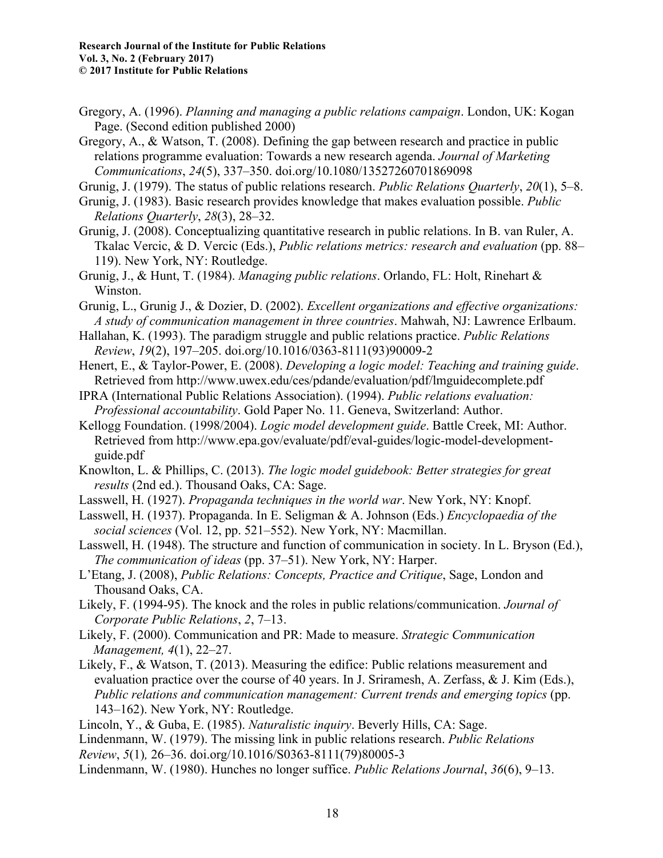Gregory, A. (1996). *Planning and managing a public relations campaign*. London, UK: Kogan Page. (Second edition published 2000)

Gregory, A., & Watson, T. (2008). Defining the gap between research and practice in public relations programme evaluation: Towards a new research agenda. *Journal of Marketing Communications*, *24*(5), 337–350. doi.org/10.1080/13527260701869098

Grunig, J. (1979). The status of public relations research. *Public Relations Quarterly*, *20*(1), 5–8.

- Grunig, J. (1983). Basic research provides knowledge that makes evaluation possible. *Public Relations Quarterly*, *28*(3), 28–32.
- Grunig, J. (2008). Conceptualizing quantitative research in public relations. In B. van Ruler, A. Tkalac Vercic, & D. Vercic (Eds.), *Public relations metrics: research and evaluation* (pp. 88– 119). New York, NY: Routledge.

Grunig, J., & Hunt, T. (1984). *Managing public relations*. Orlando, FL: Holt, Rinehart & Winston.

Grunig, L., Grunig J., & Dozier, D. (2002). *Excellent organizations and effective organizations: A study of communication management in three countries*. Mahwah, NJ: Lawrence Erlbaum.

Hallahan, K. (1993). The paradigm struggle and public relations practice. *Public Relations Review*, *19*(2), 197–205. doi.org/10.1016/0363-8111(93)90009-2

Henert, E., & Taylor-Power, E. (2008). *Developing a logic model: Teaching and training guide*. Retrieved from http://www.uwex.edu/ces/pdande/evaluation/pdf/lmguidecomplete.pdf

IPRA (International Public Relations Association). (1994). *Public relations evaluation: Professional accountability*. Gold Paper No. 11. Geneva, Switzerland: Author.

Kellogg Foundation. (1998/2004). *Logic model development guide*. Battle Creek, MI: Author. Retrieved from http://www.epa.gov/evaluate/pdf/eval-guides/logic-model-developmentguide.pdf

Knowlton, L. & Phillips, C. (2013). *The logic model guidebook: Better strategies for great results* (2nd ed.). Thousand Oaks, CA: Sage.

Lasswell, H. (1927). *Propaganda techniques in the world war*. New York, NY: Knopf.

Lasswell, H. (1937). Propaganda. In E. Seligman & A. Johnson (Eds.) *Encyclopaedia of the social sciences* (Vol. 12, pp. 521–552). New York, NY: Macmillan.

Lasswell, H. (1948). The structure and function of communication in society. In L. Bryson (Ed.), *The communication of ideas* (pp. 37–51). New York, NY: Harper.

L'Etang, J. (2008), *Public Relations: Concepts, Practice and Critique*, Sage, London and Thousand Oaks, CA.

Likely, F. (1994-95). The knock and the roles in public relations/communication. *Journal of Corporate Public Relations*, *2*, 7–13.

Likely, F. (2000). Communication and PR: Made to measure. *Strategic Communication Management, 4*(1), 22–27.

Likely, F., & Watson, T. (2013). Measuring the edifice: Public relations measurement and evaluation practice over the course of 40 years. In J. Sriramesh, A. Zerfass, & J. Kim (Eds.), *Public relations and communication management: Current trends and emerging topics* (pp. 143–162). New York, NY: Routledge.

Lincoln, Y., & Guba, E. (1985). *Naturalistic inquiry*. Beverly Hills, CA: Sage.

Lindenmann, W. (1979). The missing link in public relations research. *Public Relations Review*, *5*(1)*,* 26–36. doi.org/10.1016/S0363-8111(79)80005-3

Lindenmann, W. (1980). Hunches no longer suffice. *Public Relations Journal*, *36*(6), 9–13.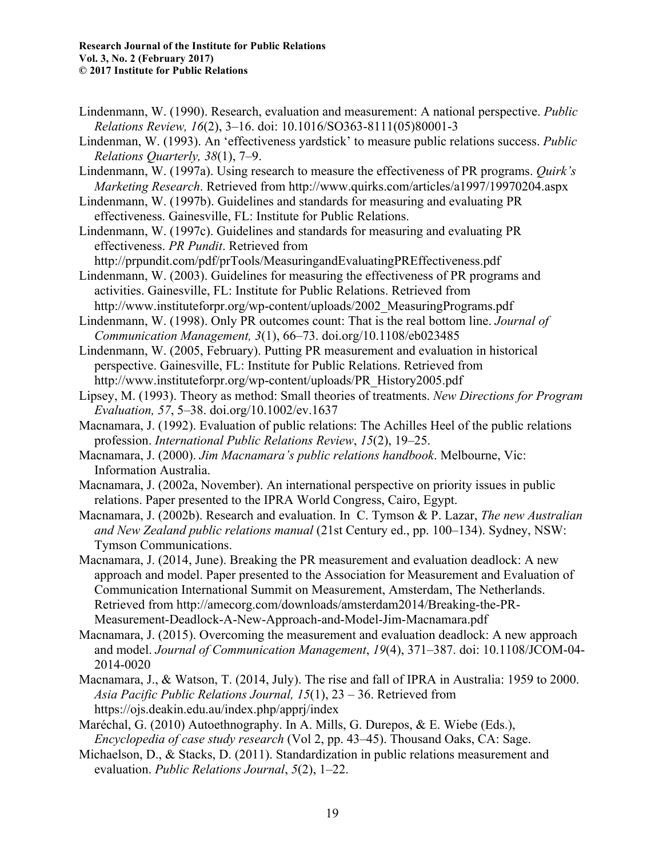- Lindenmann, W. (1990). Research, evaluation and measurement: A national perspective. *Public Relations Review, 16*(2), 3–16. doi: 10.1016/SO363-8111(05)80001-3
- Lindenman, W. (1993). An 'effectiveness yardstick' to measure public relations success. *Public Relations Quarterly, 38*(1), 7–9.
- Lindenmann, W. (1997a). Using research to measure the effectiveness of PR programs. *Quirk's Marketing Research*. Retrieved from http://www.quirks.com/articles/a1997/19970204.aspx
- Lindenmann, W. (1997b). Guidelines and standards for measuring and evaluating PR effectiveness. Gainesville, FL: Institute for Public Relations.
- Lindenmann, W. (1997c). Guidelines and standards for measuring and evaluating PR effectiveness. *PR Pundit*. Retrieved from

http://prpundit.com/pdf/prTools/MeasuringandEvaluatingPREffectiveness.pdf

- Lindenmann, W. (2003). Guidelines for measuring the effectiveness of PR programs and activities. Gainesville, FL: Institute for Public Relations. Retrieved from http://www.instituteforpr.org/wp-content/uploads/2002\_MeasuringPrograms.pdf
- Lindenmann, W. (1998). Only PR outcomes count: That is the real bottom line. *Journal of Communication Management, 3*(1), 66–73. doi.org/10.1108/eb023485
- Lindenmann, W. (2005, February). Putting PR measurement and evaluation in historical perspective. Gainesville, FL: Institute for Public Relations. Retrieved from http://www.instituteforpr.org/wp-content/uploads/PR\_History2005.pdf
- Lipsey, M. (1993). Theory as method: Small theories of treatments. *New Directions for Program Evaluation, 57*, 5–38. doi.org/10.1002/ev.1637
- Macnamara, J. (1992). Evaluation of public relations: The Achilles Heel of the public relations profession. *International Public Relations Review*, *15*(2), 19–25.
- Macnamara, J. (2000). *Jim Macnamara's public relations handbook*. Melbourne, Vic: Information Australia.
- Macnamara, J. (2002a, November). An international perspective on priority issues in public relations. Paper presented to the IPRA World Congress, Cairo, Egypt.
- Macnamara, J. (2002b). Research and evaluation. In C. Tymson & P. Lazar, *The new Australian and New Zealand public relations manual* (21st Century ed., pp. 100–134). Sydney, NSW: Tymson Communications.
- Macnamara, J. (2014, June). Breaking the PR measurement and evaluation deadlock: A new approach and model. Paper presented to the Association for Measurement and Evaluation of Communication International Summit on Measurement, Amsterdam, The Netherlands. Retrieved from http://amecorg.com/downloads/amsterdam2014/Breaking-the-PR-Measurement-Deadlock-A-New-Approach-and-Model-Jim-Macnamara.pdf
- Macnamara, J. (2015). Overcoming the measurement and evaluation deadlock: A new approach and model. *Journal of Communication Management*, *19*(4), 371–387. doi: 10.1108/JCOM-04- 2014-0020
- Macnamara, J., & Watson, T. (2014, July). The rise and fall of IPRA in Australia: 1959 to 2000. *Asia Pacific Public Relations Journal, 15*(1), 23 – 36. Retrieved from https://ojs.deakin.edu.au/index.php/apprj/index
- Maréchal, G. (2010) Autoethnography. In A. Mills, G. Durepos, & E. Wiebe (Eds.), *Encyclopedia of case study research* (Vol 2, pp. 43–45). Thousand Oaks, CA: Sage.
- Michaelson, D., & Stacks, D. (2011). Standardization in public relations measurement and evaluation. *Public Relations Journal*, *5*(2), 1–22.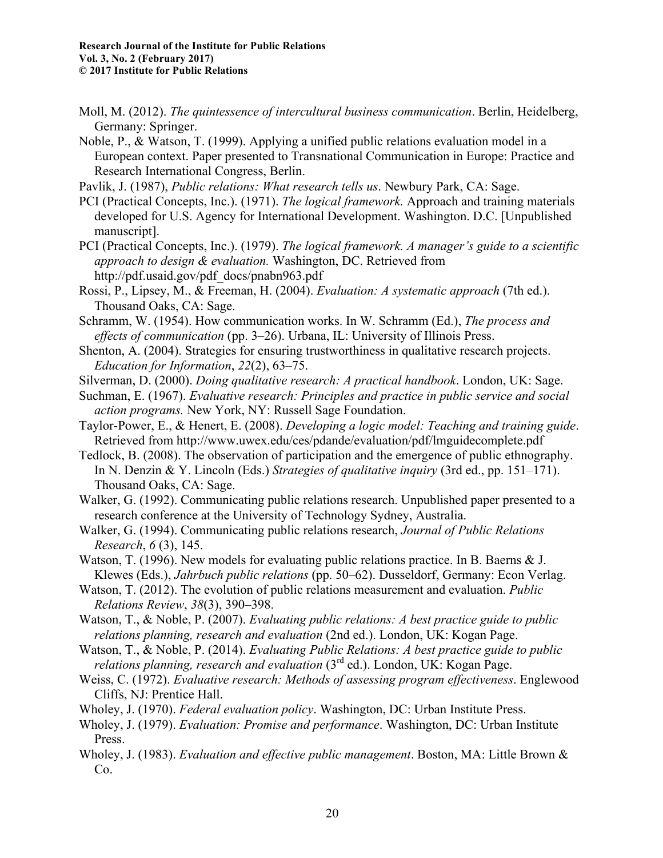- Moll, M. (2012). *The quintessence of intercultural business communication*. Berlin, Heidelberg, Germany: Springer.
- Noble, P., & Watson, T. (1999). Applying a unified public relations evaluation model in a European context. Paper presented to Transnational Communication in Europe: Practice and Research International Congress, Berlin.
- Pavlik, J. (1987), *Public relations: What research tells us*. Newbury Park, CA: Sage.
- PCI (Practical Concepts, Inc.). (1971). *The logical framework.* Approach and training materials developed for U.S. Agency for International Development. Washington. D.C. [Unpublished manuscript].
- PCI (Practical Concepts, Inc.). (1979). *The logical framework. A manager's guide to a scientific approach to design & evaluation.* Washington, DC. Retrieved from http://pdf.usaid.gov/pdf\_docs/pnabn963.pdf
- Rossi, P., Lipsey, M., & Freeman, H. (2004). *Evaluation: A systematic approach* (7th ed.). Thousand Oaks, CA: Sage.

Schramm, W. (1954). How communication works. In W. Schramm (Ed.), *The process and effects of communication* (pp. 3–26). Urbana, IL: University of Illinois Press.

- Shenton, A. (2004). Strategies for ensuring trustworthiness in qualitative research projects. *Education for Information*, *22*(2), 63–75.
- Silverman, D. (2000). *Doing qualitative research: A practical handbook*. London, UK: Sage.
- Suchman, E. (1967). *Evaluative research: Principles and practice in public service and social action programs.* New York, NY: Russell Sage Foundation.
- Taylor-Power, E., & Henert, E. (2008). *Developing a logic model: Teaching and training guide*. Retrieved from http://www.uwex.edu/ces/pdande/evaluation/pdf/lmguidecomplete.pdf
- Tedlock, B. (2008). The observation of participation and the emergence of public ethnography. In N. Denzin & Y. Lincoln (Eds.) *Strategies of qualitative inquiry* (3rd ed., pp. 151–171). Thousand Oaks, CA: Sage.
- Walker, G. (1992). Communicating public relations research. Unpublished paper presented to a research conference at the University of Technology Sydney, Australia.
- Walker, G. (1994). Communicating public relations research, *Journal of Public Relations Research*, *6* (3), 145.
- Watson, T. (1996). New models for evaluating public relations practice. In B. Baerns & J. Klewes (Eds.), *Jahrbuch public relations* (pp. 50–62). Dusseldorf, Germany: Econ Verlag.
- Watson, T. (2012). The evolution of public relations measurement and evaluation. *Public Relations Review*, *38*(3), 390–398.
- Watson, T., & Noble, P. (2007). *Evaluating public relations: A best practice guide to public relations planning, research and evaluation* (2nd ed.). London, UK: Kogan Page.
- Watson, T., & Noble, P. (2014). *Evaluating Public Relations: A best practice guide to public relations planning, research and evaluation* (3<sup>rd</sup> ed.). London, UK: Kogan Page.
- Weiss, C. (1972). *Evaluative research: Methods of assessing program effectiveness*. Englewood Cliffs, NJ: Prentice Hall.
- Wholey, J. (1970). *Federal evaluation policy*. Washington, DC: Urban Institute Press.
- Wholey, J. (1979). *Evaluation: Promise and performance*. Washington, DC: Urban Institute Press.
- Wholey, J. (1983). *Evaluation and effective public management*. Boston, MA: Little Brown & Co.